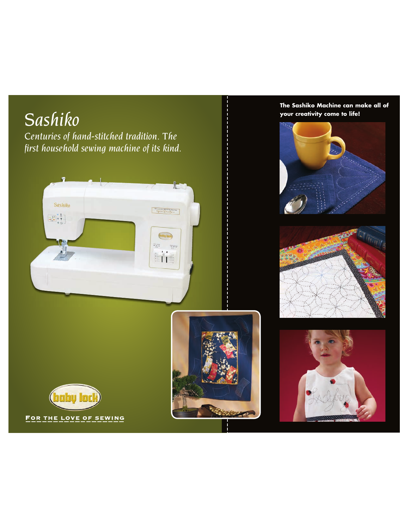

**The Sashiko Machine can make all of**